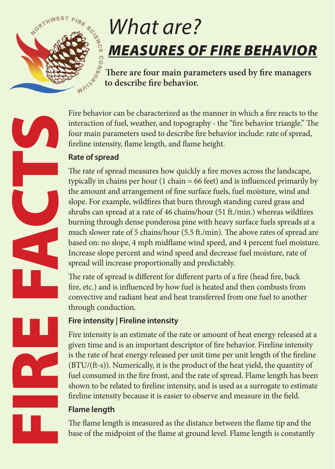

# *What are? MEASURES OF FIRE BEHAVIOR*

**There are four main parameters used by fire managers to describe fire behavior.** 

Fire behavior can be characterized as the manner in which a fire reacts to the interaction of fuel, weather, and topography - the "fire behavior triangle." The four main parameters used to describe fire behavior include: rate of spread, fireline intensity, flame length, and flame height.

## **Rate of spread**

The rate of spread measures how quickly a fire moves across the landscape, typically in chains per hour (1 chain = 66 feet) and is influenced primarily by the amount and arrangement of fine surface fuels, fuel moisture, wind and slope. For example, wildfires that burn through standing cured grass and shrubs can spread at a rate of 46 chains/hour (51 ft./min.) whereas wildfires burning through dense ponderosa pine with heavy surface fuels spreads at a much slower rate of 5 chains/hour (5.5 ft./min). The above rates of spread are based on: no slope, 4 mph midflame wind speed, and 4 percent fuel moisture. Increase slope percent and wind speed and decrease fuel moisture, rate of spread will increase proportionally and predictably.

The rate of spread is different for different parts of a fire (head fire, back fire, etc.) and is influenced by how fuel is heated and then combusts from convective and radiant heat and heat transferred from one fuel to another through conduction.

## **Fire intensity | Fireline intensity**

Fire intensity is an estimate of the rate or amount of heat energy released at a given time and is an important descriptor of fire behavior. Fireline intensity is the rate of heat energy released per unit time per unit length of the fireline (BTU/(ft-s)). Numerically, it is the product of the heat yield, the quantity of fuel consumed in the fire front, and the rate of spread. Flame length has been shown to be related to fireline intensity, and is used as a surrogate to estimate fireline intensity because it is easier to observe and measure in the field.

## **Flame length**

The flame length is measured as the distance between the flame tip and the base of the midpoint of the flame at ground level. Flame length is constantly